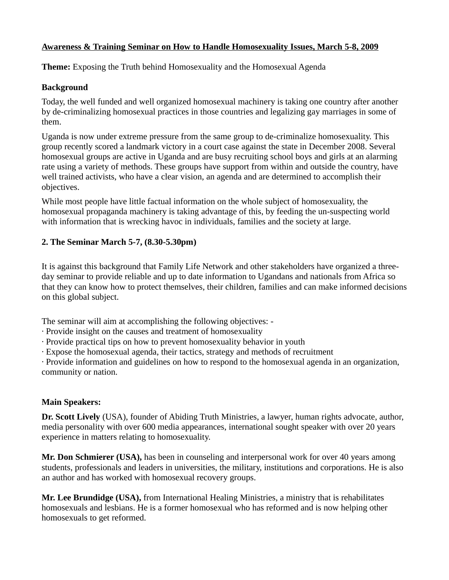### **Awareness & Training Seminar on How to Handle Homosexuality Issues, March 5-8, 2009**

**Theme:** Exposing the Truth behind Homosexuality and the Homosexual Agenda

#### **Background**

Today, the well funded and well organized homosexual machinery is taking one country after another by de-criminalizing homosexual practices in those countries and legalizing gay marriages in some of them.

Uganda is now under extreme pressure from the same group to de-criminalize homosexuality. This group recently scored a landmark victory in a court case against the state in December 2008. Several homosexual groups are active in Uganda and are busy recruiting school boys and girls at an alarming rate using a variety of methods. These groups have support from within and outside the country, have well trained activists, who have a clear vision, an agenda and are determined to accomplish their objectives.

While most people have little factual information on the whole subject of homosexuality, the homosexual propaganda machinery is taking advantage of this, by feeding the un-suspecting world with information that is wrecking havoc in individuals, families and the society at large.

# **2. The Seminar March 5-7, (8.30-5.30pm)**

It is against this background that Family Life Network and other stakeholders have organized a threeday seminar to provide reliable and up to date information to Ugandans and nationals from Africa so that they can know how to protect themselves, their children, families and can make informed decisions on this global subject.

The seminar will aim at accomplishing the following objectives: -

- · Provide insight on the causes and treatment of homosexuality
- · Provide practical tips on how to prevent homosexuality behavior in youth
- · Expose the homosexual agenda, their tactics, strategy and methods of recruitment

· Provide information and guidelines on how to respond to the homosexual agenda in an organization, community or nation.

# **Main Speakers:**

**Dr. Scott Lively** (USA), founder of Abiding Truth Ministries, a lawyer, human rights advocate, author, media personality with over 600 media appearances, international sought speaker with over 20 years experience in matters relating to homosexuality.

**Mr. Don Schmierer (USA),** has been in counseling and interpersonal work for over 40 years among students, professionals and leaders in universities, the military, institutions and corporations. He is also an author and has worked with homosexual recovery groups.

**Mr. Lee Brundidge (USA),** from International Healing Ministries, a ministry that is rehabilitates homosexuals and lesbians. He is a former homosexual who has reformed and is now helping other homosexuals to get reformed.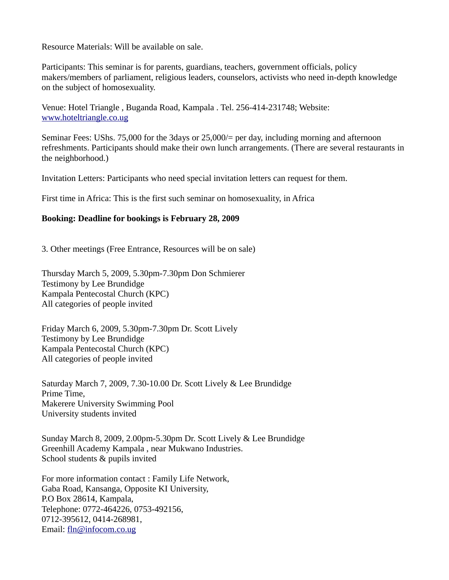Resource Materials: Will be available on sale.

Participants: This seminar is for parents, guardians, teachers, government officials, policy makers/members of parliament, religious leaders, counselors, activists who need in-depth knowledge on the subject of homosexuality.

Venue: Hotel Triangle , Buganda Road, Kampala . Tel. 256-414-231748; Website: [www.hoteltriangle.co.ug](http://www.hoteltriangle.co.ug/)

Seminar Fees: UShs. 75,000 for the 3days or 25,000/= per day, including morning and afternoon refreshments. Participants should make their own lunch arrangements. (There are several restaurants in the neighborhood.)

Invitation Letters: Participants who need special invitation letters can request for them.

First time in Africa: This is the first such seminar on homosexuality, in Africa

#### **Booking: Deadline for bookings is February 28, 2009**

3. Other meetings (Free Entrance, Resources will be on sale)

Thursday March 5, 2009, 5.30pm-7.30pm Don Schmierer Testimony by Lee Brundidge Kampala Pentecostal Church (KPC) All categories of people invited

Friday March 6, 2009, 5.30pm-7.30pm Dr. Scott Lively Testimony by Lee Brundidge Kampala Pentecostal Church (KPC) All categories of people invited

Saturday March 7, 2009, 7.30-10.00 Dr. Scott Lively & Lee Brundidge Prime Time, Makerere University Swimming Pool University students invited

Sunday March 8, 2009, 2.00pm-5.30pm Dr. Scott Lively & Lee Brundidge Greenhill Academy Kampala , near Mukwano Industries. School students & pupils invited

For more information contact : Family Life Network, Gaba Road, Kansanga, Opposite KI University, P.O Box 28614, Kampala, Telephone: 0772-464226, 0753-492156, 0712-395612, 0414-268981, Email: [fln@infocom.co.ug](mailto:fln@infocom.co.ug)